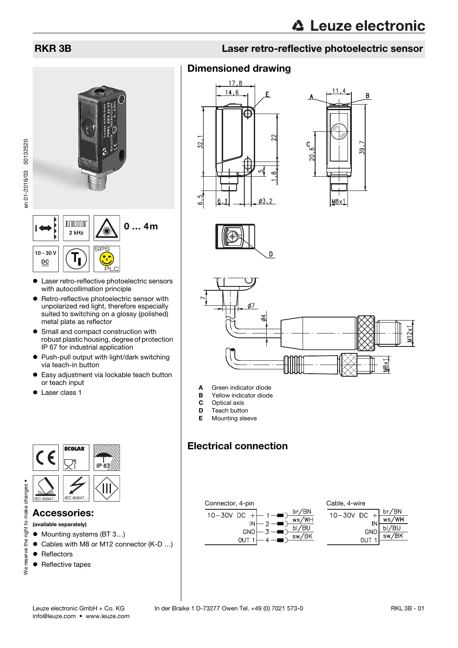



- Laser retro-reflective photoelectric sensors with autocollimation principle
- **•** Retro-reflective photoelectric sensor with unpolarized red light, therefore especially suited to switching on a glossy (polished) metal plate as reflector
- Small and compact construction with robust plastic housing, degree of protection IP 67 for industrial application
- Push-pull output with light/dark switching via teach-in button
- Easy adjustment via lockable teach button or teach input
- Laser class 1



### Accessories:

(available separately)

- Mounting systems (BT 3...)
- Cables with M8 or M12 connector (K-D ...)
- Reflectors

We reserve

• Reflective tapes

# RKR 3B Laser retro-reflective photoelectric sensor

# Dimensioned drawing









- A Green indicator diode
- **B** Yellow indicator diode<br>**C** Optical axis
- Optical axis
- **D** Teach button
- **E** Mounting sleeve

# Electrical connection

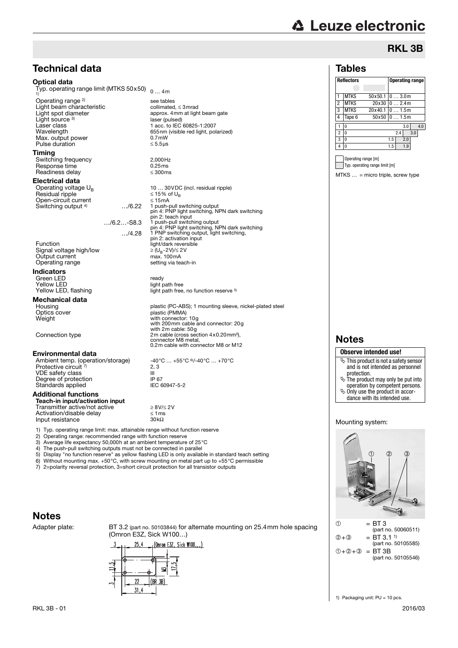# **△ Leuze electronic**

# RKL 3B

### Tables

| <b>Reflectors</b> |             |         |     | <b>Operating range</b> |         |     |     |  |
|-------------------|-------------|---------|-----|------------------------|---------|-----|-----|--|
|                   |             |         |     |                        |         |     |     |  |
|                   | <b>MTKS</b> | 50×50.1 |     |                        | 03.0m   |     |     |  |
| $\overline{2}$    | <b>MTKS</b> | 20×30   |     |                        | 02.4m   |     |     |  |
| 3                 | <b>MTKS</b> | 20x40.1 |     |                        | 0  1.5m |     |     |  |
| 4                 | Tape 6      | 50x50   |     |                        | 01.5m   |     |     |  |
|                   | 0           |         |     |                        | 3.0     |     | 4.0 |  |
| $\overline{c}$    | $\Omega$    |         |     | 2.4                    |         | 3.0 |     |  |
| 3                 | $\Omega$    |         | 1.5 |                        | 2.0     |     |     |  |
| 4                 | 0           |         | 1.5 |                        | 1.9     |     |     |  |

Operating range [m] Typ. operating range limit [m]

MTKS … = micro triple, screw type

### Notes

#### **Observe intended use!**

- $\&$  This product is not a safety sensor and is not intended as personnel protection.
- $\&$  The product may only be put into operation by competent persons.
- Only use the product in accor-dance with its intended use.
- 

#### Mounting system:



(part no. 50105585)  $① +② +③ = BT 3B$ (part no. 50105546)

# Technical data

#### Optical data

Typ. operating range limit (MTKS 50x50)  $\,$   $_{\rm 0\,... \,4m}$ 1)

Operating range 2) Light beam characteristic<br>Light spot diameter Light source 3) Laser class 1 acc. to IEC 60825-1:2007<br>Wavelength 655nm (visible red light, poly Max. output power  $0.7$ mW<br>Pulse duration  $\leq 5.5$ us Pulse duration

#### Timing

Switching frequency 2,000Hz Response time  $0.25 \text{ ms}$ <br>Readiness delay  $\leq 300 \text{ ms}$ Readiness delay

# **Electrical data**<br>Operating voltage  $U_R$

 $Residual$  ripple  $\leq 15\%$  of UBS of UBS of UBS of UBS of UBS of UBS of UBS of UBS of UBS of UBS of UBS of UBS of UBS of UBS of UBS of UBS of UBS of UBS of UBS of UBS of UBS of UBS of UBS of UBS of UBS of UBS of UBS of UBS of Open-circuit current 15mA Switching output <sup>4)</sup>

pin 2: teach input …/6.2…-S8.3 1 push-pull switching output pin 4: PNP light switching, NPN dark switching …/4.28 1 PNP switching output, light switching, pin 2: activation input

Function  $\begin{array}{l} \text{Function} \\ \text{Signal voltage high/low} \end{array}$   $\geq (U_B - 2V)/\leq 2V$ Signal voltage high/low  $\geq (U_{B}-2V)/\leq 2$ <br>Output current max. 100mA Output current  $\overline{a}$  max. 100mA<br>Operating range by the setting via teach-in Operating range

#### Indicators

Green LED<br>
Yellow LED<br>
Yellow LED Yellow LED<br>Yellow LED, flashing

# **Mechanical data**<br>Housing

Housing plastic (PC-ABS); 1 mounting sleeve, nickel-plated steel<br>
Optics cover plastic (PMMA) Optics cover plastic (PMMA)<br>
Weight with connector: Weight with connector: 10g with 200mm cable and connector: 20g

with 2m cable: 50g<br>2m cable (cross section 4x0.20mm<sup>2</sup>),<br>20nnector M8 metal, connector M8 metal,

#### Environmental data

Ambient temp. (operation/storage) -40°C … +55°C %/-40°C … +70°C<br>Protective circuit <sup>7)</sup> 2, 3 VDE safety class III<br>
Degree of protection<br>
IP 67 Degree of protection IP 67 Standards applied IEC 60947-5-2

#### Additional functions

Teach-in input/activation input  $T$ ransmitter active/not active  $\geq 8V/2V$ Activation/disable delay  $\leq 1 \text{ ms}$ <br>
Input resistance  $30k\Omega$ Input resistance

1) Typ. operating range limit: max. attainable range without function reserve 2) Operating range: recommended range with function reserve

3) Average life expectancy 50,000h at an ambient temperature of 25°C 4) The push-pull switching outputs must not be connected in parallel<br>5) Display "no function reserve" as vellow flashing LED is only available.

5) Display "no function reserve" as yellow flashing LED is only available in standard teach setting 6) Without mounting max.  $+50^{\circ}$ C with screw mounting on metal part up to  $+55^{\circ}$ C permissible

6) Without mounting max. +50°C, with screw mounting on metal part up to +55°C permissible<br>6) Without mounting max. +50°C, with screw mounting on metal part up to +55°C permissible<br>7) 2=polarity reversal protection, 3=short

2=polarity reversal protection, 3=short circuit protection for all transistor outputs

# Notes

Adapter plate: BT 3.2 (part no. 50103844) for alternate mounting on 25.4mm hole spacing (Omron E3Z, Sick W100…)



# $2, 3$

see tables<br>collimated. < 3mrad

laser (pulsed)

approx. 4mm at light beam gate

 $655$ nm (visible red light, polarized)<br>0.7mW

10 ... 30VDC (incl. residual ripple)<br> $\leq$  15% of U<sub>B</sub>

light path free, no function reserve 5)

0.2m cable with connector M8 or M12

pin 4: PNP light switching, NPN dark switching

1 push-pull switching output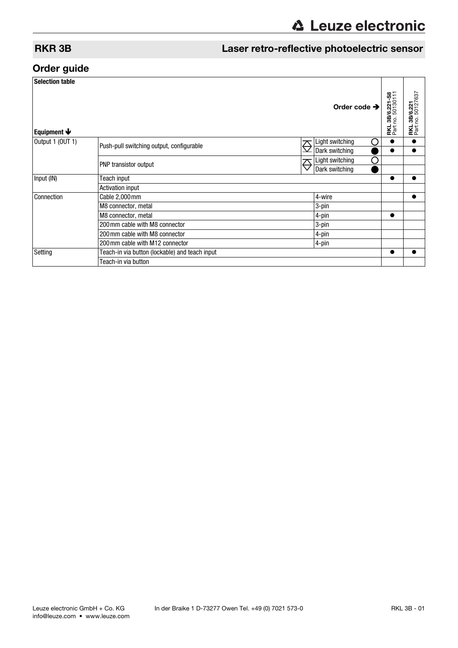# RKR 3B Laser retro-reflective photoelectric sensor

# Order guide

| <b>Selection table</b>    |                                                |                           |                          |                                             |                                               |  |
|---------------------------|------------------------------------------------|---------------------------|--------------------------|---------------------------------------------|-----------------------------------------------|--|
| Equipment $\blacklozenge$ |                                                |                           | Order code $\rightarrow$ | <b>RKL 3B/6.221-S8</b><br>Part no. 50130111 | 3B/6.221<br>no.50127637<br><b>RKL</b><br>Part |  |
| Output 1 (OUT 1)          | Push-pull switching output, configurable       | $\overline{\mathfrak{D}}$ | Light switching<br>∩     | $\bullet$                                   |                                               |  |
|                           |                                                |                           | Dark switching           | $\bullet$                                   |                                               |  |
|                           | PNP transistor output                          | <del>⊘</del>              | ∩<br>Light switching     |                                             |                                               |  |
|                           |                                                |                           | Dark switching           |                                             |                                               |  |
| Input (IN)                | Teach input                                    |                           |                          |                                             |                                               |  |
|                           | <b>Activation input</b>                        |                           |                          |                                             |                                               |  |
| Connection                | Cable 2,000 mm                                 | 4-wire                    |                          | $\bullet$                                   |                                               |  |
|                           | M8 connector, metal                            | 3-pin                     |                          |                                             |                                               |  |
|                           | M8 connector, metal                            | 4-pin                     | $\bullet$                |                                             |                                               |  |
|                           | 200 mm cable with M8 connector                 |                           | 3-pin                    |                                             |                                               |  |
|                           | 200 mm cable with M8 connector                 |                           | 4-pin                    |                                             |                                               |  |
|                           | 200 mm cable with M12 connector                |                           |                          |                                             |                                               |  |
| Setting                   | Teach-in via button (lockable) and teach input |                           |                          |                                             |                                               |  |
|                           | Teach-in via button                            |                           |                          |                                             |                                               |  |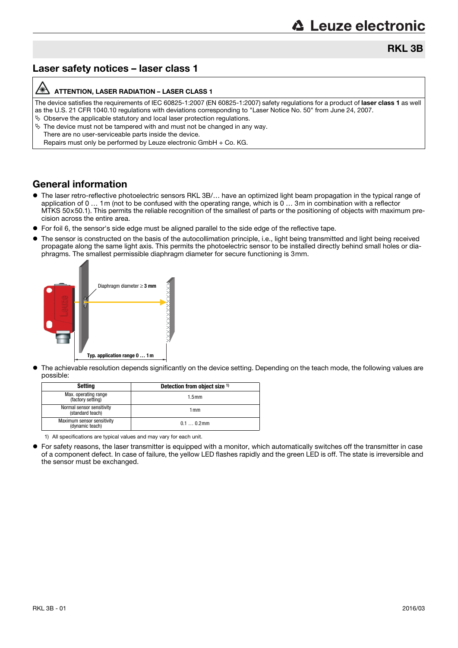# RKL 3B

# Laser safety notices – laser class 1

#### ATTENTION, LASER RADIATION – LASER CLASS 1

The device satisfies the requirements of IEC 60825-1:2007 (EN 60825-1:2007) safety regulations for a product of laser class 1 as well as the U.S. 21 CFR 1040.10 regulations with deviations corresponding to "Laser Notice No. 50" from June 24, 2007.

 $\%$  Observe the applicable statutory and local laser protection regulations.  $\%$  The device must not be tampered with and must not be changed in any way.

There are no user-serviceable parts inside the device. Repairs must only be performed by Leuze electronic GmbH + Co. KG.

# General information

- The laser retro-reflective photoelectric sensors RKL 3B/… have an optimized light beam propagation in the typical range of application of 0  $\ldots$  1m (not to be confused with the operating range, which is 0  $\ldots$  3m in combination with a reflector MTKS 50x50.1). This permits the reliable recognition of the smallest of parts or the positioning of objects with maximum precision across the entire area.
- For foil 6, the sensor's side edge must be aligned parallel to the side edge of the reflective tape.
- The sensor is constructed on the basis of the autocollimation principle, i.e., light being transmitted and light being received propagate along the same light axis. This permits the photoelectric sensor to be installed directly behind small holes or diaphragms. The smallest permissible diaphragm diameter for secure functioning is 3mm.



 The achievable resolution depends significantly on the device setting. Depending on the teach mode, the following values are possible:

| Setting                                       | Detection from object size 1) |
|-----------------------------------------------|-------------------------------|
| Max. operating range<br>(factory setting)     | 1.5 <sub>mm</sub>             |
| Normal sensor sensitivity<br>(standard teach) | 1 mm                          |
| Maximum sensor sensitivity<br>(dynamic teach) | $0.10.2$ mm                   |

1) All specifications are typical values and may vary for each unit.

 For safety reasons, the laser transmitter is equipped with a monitor, which automatically switches off the transmitter in case of a component defect. In case of failure, the yellow LED flashes rapidly and the green LED is off. The state is irreversible and the sensor must be exchanged.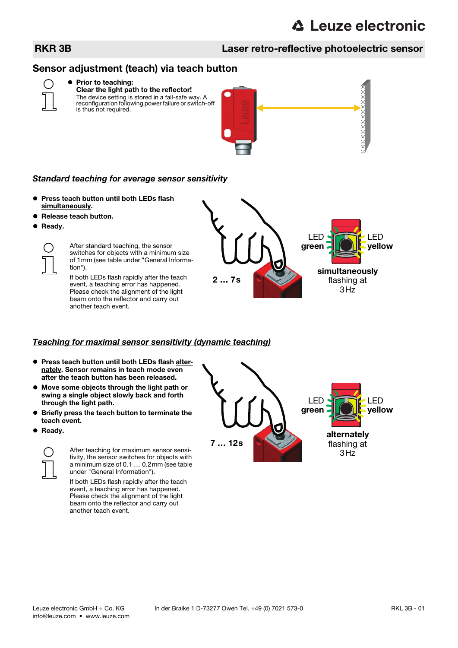# RKR 3B Laser retro-reflective photoelectric sensor

# Sensor adjustment (teach) via teach button



# **• Prior to teaching:**

Clear the light path to the reflector! The device setting is stored in a fail-safe way. A reconfiguration following power failure or switch-off is thus not required.



#### Standard teaching for average sensor sensitivity

- Press teach button until both LEDs flash simultaneously.
- Release teach button.
- **Ready.**

After standard teaching, the sensor switches for objects with a minimum size of 1mm (see table under "General Information").

If both LEDs flash rapidly after the teach event, a teaching error has happened. Please check the alignment of the light beam onto the reflector and carry out another teach event.

2 … 7s simultaneously flashing at  $3H<sub>z</sub>$ LED green LED yellow

#### Teaching for maximal sensor sensitivity (dynamic teaching)

- **Press teach button until both LEDs flash alter**nately. Sensor remains in teach mode even after the teach button has been released.
- Move some objects through the light path or swing a single object slowly back and forth through the light path.
- **Briefly press the teach button to terminate the** teach event.
- **•** Ready.



After teaching for maximum sensor sensitivity, the sensor switches for objects with a minimum size of 0.1 … 0.2mm (see table under "General Information").

If both LEDs flash rapidly after the teach event, a teaching error has happened. Please check the alignment of the light beam onto the reflector and carry out another teach event.

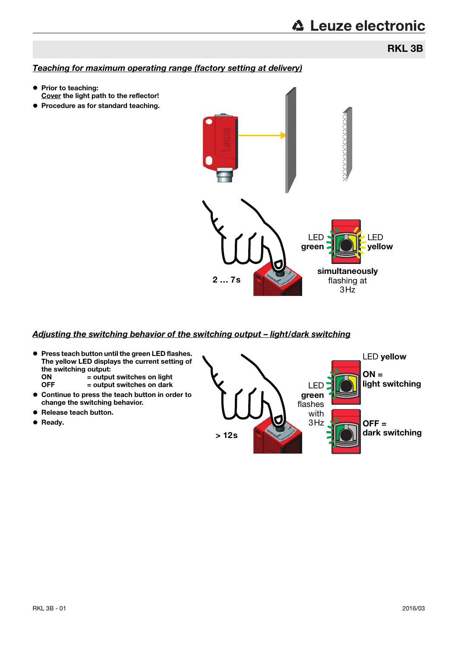RKL 3B

# Teaching for maximum operating range (factory setting at delivery)

- Prior to teaching: Cover the light path to the reflector!
- **Procedure as for standard teaching.**



#### Adjusting the switching behavior of the switching output – light/dark switching

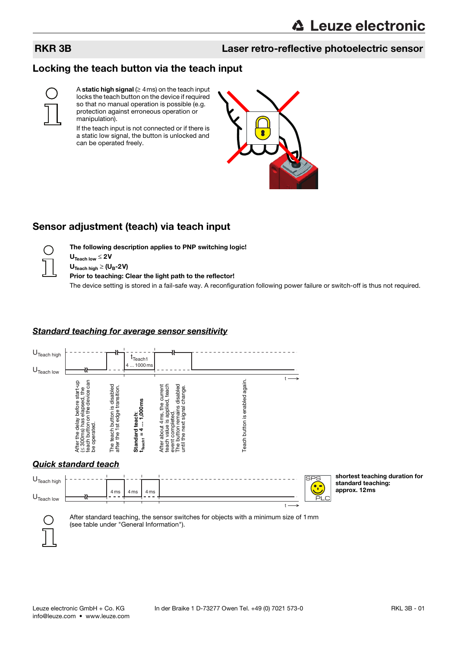# RKR 3B Laser retro-reflective photoelectric sensor

# Locking the teach button via the teach input



A static high signal  $( \geq 4 \,\text{ms})$  on the teach input locks the teach button on the device if required so that no manual operation is possible (e.g. protection against erroneous operation or manipulation).

If the teach input is not connected or if there is a static low signal, the button is unlocked and can be operated freely.



# Sensor adjustment (teach) via teach input



 $U_{\text{Teach low}} \leq 2V$  $U_{\text{Teach hidh}} \geq (U_B - 2V)$ 

Prior to teaching: Clear the light path to the reflector!

The following description applies to PNP switching logic!

The device setting is stored in a fail-safe way. A reconfiguration following power failure or switch-off is thus not required.

#### Standard teaching for average sensor sensitivity





shortest teaching duration for standard teaching: approx. 12ms



After standard teaching, the sensor switches for objects with a minimum size of 1mm (see table under "General Information").